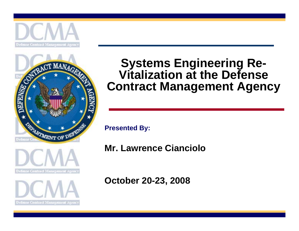







### **Systems Engineering Re-Vitalization at the Defense Contract Management Agency**

**Presented By:**

**Mr. Lawrence Cianciolo**

**October 20-23, 2008**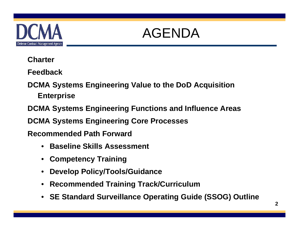

# AGENDA

#### **Charter**

**Feedback**

**DCMA Systems Engineering Value to the DoD Acquisition Enterprise**

**DCMA Systems Engineering Functions and Influence Areas**

**DCMA Systems Engineering Core Processes**

**Recommended Path Forward**

- $\bullet$ **Baseline Skills Assessment**
- •**Competency Training**
- •**Develop Policy/Tools/Guidance**
- $\bullet$ **Recommended Training Track/Curriculum**
- •**SE Standard Surveillance Operating Guide (SSOG) Outline**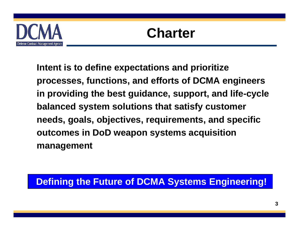

**Intent is to define expectations and prioritize processes, functions, and efforts of DCMA engineers in providing the best guidance, support, and life-cycle balanced system solutions that satisfy customer needs, goals, objectives, requirements, and specific outcomes in DoD weapon systems acquisition management**

#### **Defining the Future of DCMA Systems Engineering!**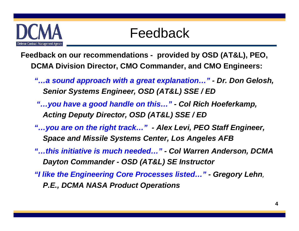

**Feedback on our recommendations - provided by OSD (AT&L), PEO, DCMA Division Director, CMO Commander, and CMO Engineers:**

- *"…a sound approach with a great explanation…" - Dr. Don Gelosh, Senior Systems Engineer, OSD (AT&L) SSE / ED*
- *"…you have a good handle on this…" - Col Rich Hoeferkamp, Acting Deputy Director, OSD (AT&L) SSE / ED*
- *"…you are on the right track…" - Alex Levi, PEO Staff Engineer, Space and Missile Systems Center, Los Angeles AFB*
- *"…this initiative is much needed…" - Col Warren Anderson, DCMA Dayton Commander - OSD (AT&L) SE Instructor*
- *"I like the Engineering Core Processes listed…" - Gregory Lehn, P.E., DCMA NASA Product Operations*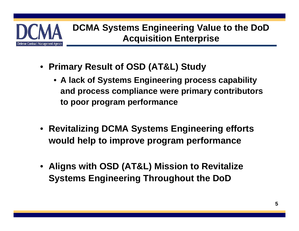

- **Primary Result of OSD (AT&L) Study**
	- **A lack of Systems Engineering process capability and process compliance were primary contributors to poor program performance**
- **Revitalizing DCMA Systems Engineering efforts would help to improve program performance**
- **Aligns with OSD (AT&L) Mission to Revitalize Systems Engineering Throughout the DoD**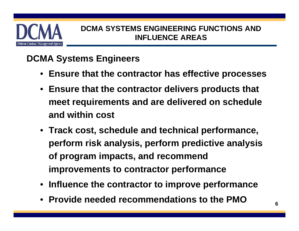

#### **DCMA Systems Engineers**

- **Ensure that the contractor has effective processes**
- **Ensure that the contractor delivers products that meet requirements and are delivered on schedule and within cost**
- **Track cost, schedule and technical performance, perform risk analysis, perform predictive analysis of program impacts, and recommend improvements to contractor performance**
- **Influence the contractor to improve performance**
- **Provide needed recommendations to the PMO**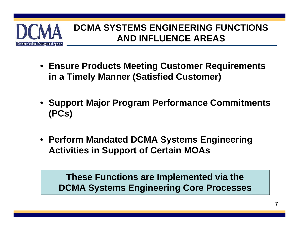

- **Ensure Products Meeting Customer Requirements in a Timely Manner (Satisfied Customer)**
- **Support Major Program Performance Commitments (PCs)**
- **Perform Mandated DCMA Systems Engineering Activities in Support of Certain MOAs**

**These Functions are Implemented via the Engineering Core Processes DCMA Systems Engineering Core Processes**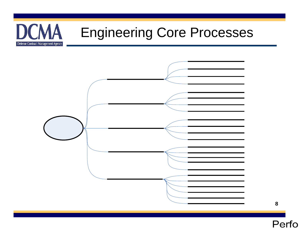#### **DCMA** Engineering Core ProcessesDefense Contract Management Agency

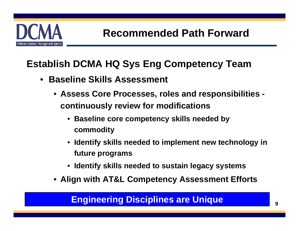

### **Establish DCMA HQ Sys Eng Competency Team**

- **Baseline Skills Assessment**
	- **Assess Core Processes, roles and responsibilities continuously review for modifications**
		- **Baseline core competency skills needed by commodity**
		- **Identify skills needed to implement new technology in future programs**
		- **Identify skills needed to sustain legacy systems**
	- **Align with AT&L Competency Assessment Efforts**

#### **Engineering Disciplines are Unique**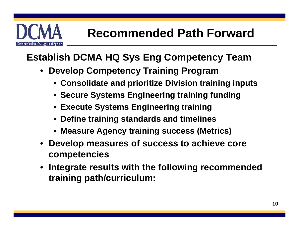

#### **Establish DCMA HQ Sys Eng Competency Team**

- **Develop Competency Training Program**
	- **Consolidate and prioritize Division training inputs**
	- **Secure Systems Engineering training funding**
	- **Execute Systems Engineering training**
	- **Define training standards and timelines**
	- **Measure Agency training success (Metrics)**
- **Develop measures of success to achieve core competencies**
- **Integrate results with the following recommended training path/curriculum:**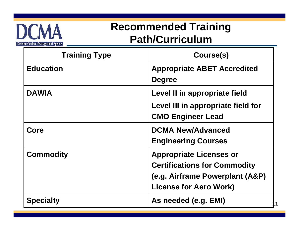

## **Recommended Training Path/Curriculum**

| <b>Training Type</b> | Course(s)                                                                                                                                 |
|----------------------|-------------------------------------------------------------------------------------------------------------------------------------------|
| <b>Education</b>     | <b>Appropriate ABET Accredited</b><br><b>Degree</b>                                                                                       |
| <b>DAWIA</b>         | Level II in appropriate field<br>Level III in appropriate field for<br><b>CMO Engineer Lead</b>                                           |
| Core                 | <b>DCMA New/Advanced</b><br><b>Engineering Courses</b>                                                                                    |
| <b>Commodity</b>     | <b>Appropriate Licenses or</b><br><b>Certifications for Commodity</b><br>(e.g. Airframe Powerplant (A&P)<br><b>License for Aero Work)</b> |
| <b>Specialty</b>     | As needed (e.g. EMI)                                                                                                                      |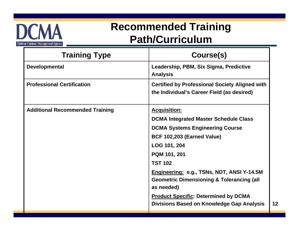

## **Recommended Training Path/Curriculum**

| <b>Training Type</b>                   | Course(s)                                                                                                 |
|----------------------------------------|-----------------------------------------------------------------------------------------------------------|
| <b>Developmental</b>                   | Leadership, PBM, Six Sigma, Predictive<br><b>Analysis</b>                                                 |
| <b>Professional Certification</b>      | <b>Certified by Professional Society Aligned with</b><br>the Individual's Career Field (as desired)       |
| <b>Additional Recommended Training</b> | <b>Acquisition:</b>                                                                                       |
|                                        | <b>DCMA Integrated Master Schedule Class</b>                                                              |
|                                        | <b>DCMA Systems Engineering Course</b>                                                                    |
|                                        | BCF 102,203 (Earned Value)                                                                                |
|                                        | LOG 101, 204                                                                                              |
|                                        | PQM 101, 201                                                                                              |
|                                        | <b>TST 102</b>                                                                                            |
|                                        | <b>Engineering: e.g., TSNs, NDT, ANSI Y-14.5M</b><br><b>Geometric Dimensioning &amp; Tolerancing (all</b> |
|                                        | as needed)                                                                                                |
|                                        | <b>Product Specific: Determined by DCMA</b><br>Divisions Based on Knowledge Gap Analysis                  |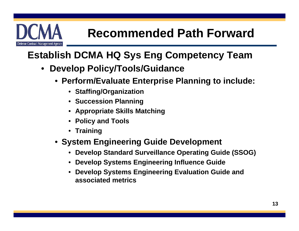

## **Establish DCMA HQ Sys Eng Competency Team**

- $\bullet$  **Develop Policy/Tools/Guidance**
	- **Perform/Evaluate Enterprise Planning to include:**
		- **Staffing/Organization**
		- **Succession Planning**
		- **Appropriate Skills Matching**
		- **Policy and Tools**
		- **Training**
	- **System Engineering Guide Development**
		- •**Develop Standard Surveillance Operating Guide (SSOG)**
		- **Develop Systems Engineering Influence Guide**
		- **Develop Systems Engineering Evaluation Guide and associated metrics**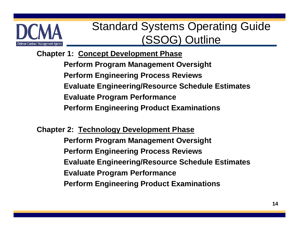

# Standard Systems Operating Guide (SSOG) Outline

**Chapter 1: Concept Development Phase Perform Program Management Oversight Perform Engineering Process Reviews Evaluate Engineering/Resource Schedule Estimates Evaluate Program Performance Perform Engineering Product Examinations**

**Chapter 2: Technology Development Phase Perform Program Management Oversight Perform Engineering Process Reviews Evaluate Engineering/Resource Schedule Estimates Evaluate Program Performance Perform Engineering Product Examinations**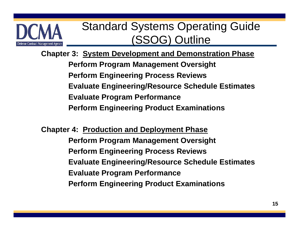

# Standard Systems Operating Guide (SSOG) Outline

**Chapter 3: System Development and Demonstration Phase Perform Program Management Oversight Perform Engineering Process Reviews Evaluate Engineering/Resource Schedule Estimates Evaluate Program Performance Perform Engineering Product Examinations**

**Chapter 4: Production and Deployment Phase Perform Program Management Oversight Perform Engineering Process Reviews Evaluate Engineering/Resource Schedule Estimates Evaluate Program Performance Perform Engineering Product Examinations**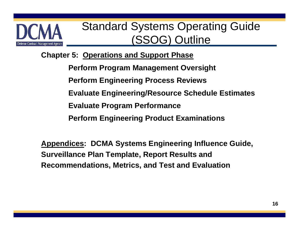

# Standard Systems Operating Guide (SSOG) Outline

**Chapter 5: Operations and Support Phase**

**Perform Program Management Oversight**

**Perform Engineering Process Reviews** 

**Evaluate Engineering/Resource Schedule Estimates**

**Evaluate Program Performance**

**Perform Engineering Product Examinations**

**Appendices: DCMA Systems Engineering Influence Guide, Surveillance Plan Template, Report Results and Recommendations, Metrics, and Test and Evaluation**